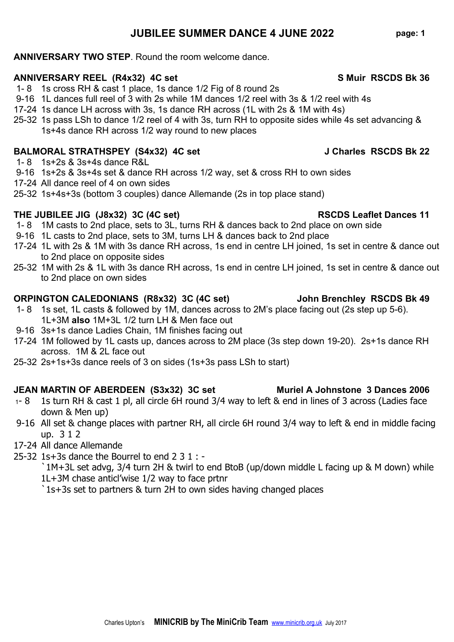# 1- 8 1s cross RH & cast 1 place, 1s dance 1/2 Fig of 8 round 2s

- 9-16 1L dances full reel of 3 with 2s while 1M dances 1/2 reel with 3s & 1/2 reel with 4s
- 17-24 1s dance LH across with 3s, 1s dance RH across (1L with 2s & 1M with 4s)

**ANNIVERSARY TWO STEP**. Round the room welcome dance.

25-32 1s pass LSh to dance 1/2 reel of 4 with 3s, turn RH to opposite sides while 4s set advancing & 1s+4s dance RH across 1/2 way round to new places

**ANNIVERSARY REEL (R4x32) 4C set S Muir RSCDS Bk 36**

## **BALMORAL STRATHSPEY (S4x32) 4C set J Charles RSCDS Bk 22**

- 1- 8 1s+2s & 3s+4s dance R&L
- 9-16 1s+2s & 3s+4s set & dance RH across 1/2 way, set & cross RH to own sides
- 17-24 All dance reel of 4 on own sides
- 25-32 1s+4s+3s (bottom 3 couples) dance Allemande (2s in top place stand)

## **THE JUBILEE JIG (J8x32) 3C (4C set) RSCDS Leaflet Dances 11**

- 1- 8 1M casts to 2nd place, sets to 3L, turns RH & dances back to 2nd place on own side
- 9-16 1L casts to 2nd place, sets to 3M, turns LH & dances back to 2nd place
- 17-24 1L with 2s & 1M with 3s dance RH across, 1s end in centre LH joined, 1s set in centre & dance out to 2nd place on opposite sides
- 25-32 1M with 2s & 1L with 3s dance RH across, 1s end in centre LH joined, 1s set in centre & dance out to 2nd place on own sides

# **ORPINGTON CALEDONIANS (R8x32) 3C (4C set) John Brenchley RSCDS Bk 49**

- 1- 8 1s set, 1L casts & followed by 1M, dances across to 2M's place facing out (2s step up 5-6). 1L+3M **also** 1M+3L 1/2 turn LH & Men face out
- 9-16 3s+1s dance Ladies Chain, 1M finishes facing out
- 17-24 1M followed by 1L casts up, dances across to 2M place (3s step down 19-20). 2s+1s dance RH across. 1M & 2L face out
- 25-32 2s+1s+3s dance reels of 3 on sides (1s+3s pass LSh to start)

# **JEAN MARTIN OF ABERDEEN (S3x32) 3C set Muriel A Johnstone 3 Dances 2006**

- <sup>1</sup> 8 1s turn RH & cast 1 pl, all circle 6H round 3/4 way to left & end in lines of 3 across (Ladies face down & Men up)
- 9-16 All set & change places with partner RH, all circle 6H round 3/4 way to left & end in middle facing up. 3 1 2
- 17-24 All dance Allemande
- 25-32 1s+3s dance the Bourrel to end  $2 \times 3 \times 1$ : -

`1M+3L set advg, 3/4 turn 2H & twirl to end BtoB (up/down middle L facing up & M down) while 1L+3M chase anticl'wise 1/2 way to face prtnr

`1s+3s set to partners & turn 2H to own sides having changed places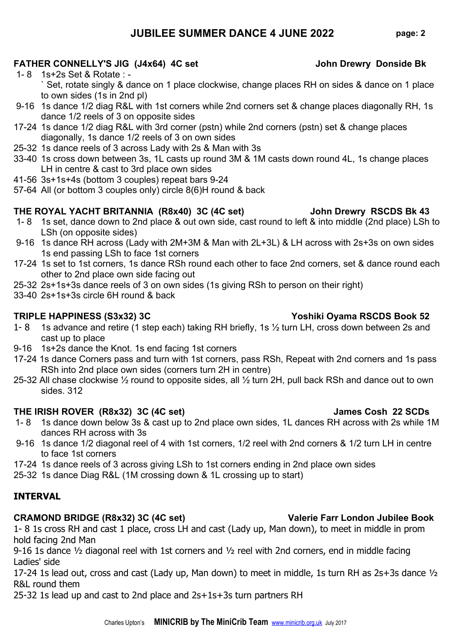# **JUBILEE SUMMER DANCE 4 JUNE 2022 page: 2**

## **FATHER CONNELLY'S JIG (J4x64) 4C set John Drewry Donside Bk**

- 1- 8 1s+2s Set & Rotate : ` Set, rotate singly & dance on 1 place clockwise, change places RH on sides & dance on 1 place to own sides (1s in 2nd pl)
- 9-16 1s dance 1/2 diag R&L with 1st corners while 2nd corners set & change places diagonally RH, 1s dance 1/2 reels of 3 on opposite sides
- 17-24 1s dance 1/2 diag R&L with 3rd corner (pstn) while 2nd corners (pstn) set & change places diagonally, 1s dance 1/2 reels of 3 on own sides
- 25-32 1s dance reels of 3 across Lady with 2s & Man with 3s
- 33-40 1s cross down between 3s, 1L casts up round 3M & 1M casts down round 4L, 1s change places LH in centre & cast to 3rd place own sides
- 41-56 3s+1s+4s (bottom 3 couples) repeat bars 9-24
- 57-64 All (or bottom 3 couples only) circle 8(6)H round & back

### **THE ROYAL YACHT BRITANNIA (R8x40) 3C (4C set) John Drewry RSCDS Bk 43**

- 1- 8 1s set, dance down to 2nd place & out own side, cast round to left & into middle (2nd place) LSh to LSh (on opposite sides)
- 9-16 1s dance RH across (Lady with 2M+3M & Man with 2L+3L) & LH across with 2s+3s on own sides 1s end passing LSh to face 1st corners
- 17-24 1s set to 1st corners, 1s dance RSh round each other to face 2nd corners, set & dance round each other to 2nd place own side facing out
- 25-32 2s+1s+3s dance reels of 3 on own sides (1s giving RSh to person on their right)
- 33-40 2s+1s+3s circle 6H round & back

### **TRIPLE HAPPINESS (S3x32) 3C Yoshiki Oyama RSCDS Book 52**

- 1- 8 1s advance and retire (1 step each) taking RH briefly, 1s 1/2 turn LH, cross down between 2s and cast up to place
- 9-16 1s+2s dance the Knot. 1s end facing 1st corners
- 17-24 1s dance Corners pass and turn with 1st corners, pass RSh, Repeat with 2nd corners and 1s pass RSh into 2nd place own sides (corners turn 2H in centre)
- 25-32 All chase clockwise ½ round to opposite sides, all ½ turn 2H, pull back RSh and dance out to own sides. 312

### **THE IRISH ROVER (R8x32) 3C (4C set) James Cosh 22 SCDs**

- 1- 8 1s dance down below 3s & cast up to 2nd place own sides, 1L dances RH across with 2s while 1M dances RH across with 3s
- 9-16 1s dance 1/2 diagonal reel of 4 with 1st corners, 1/2 reel with 2nd corners & 1/2 turn LH in centre to face 1st corners
- 17-24 1s dance reels of 3 across giving LSh to 1st corners ending in 2nd place own sides
- 25-32 1s dance Diag R&L (1M crossing down & 1L crossing up to start)

### **INTERVAL**

### **CRAMOND BRIDGE (R8x32) 3C (4C set) Valerie Farr London Jubilee Book**

1- 8 1s cross RH and cast 1 place, cross LH and cast (Lady up, Man down), to meet in middle in prom hold facing 2nd Man

9-16 1s dance ½ diagonal reel with 1st corners and ½ reel with 2nd corners, end in middle facing Ladies' side

17-24 1s lead out, cross and cast (Lady up, Man down) to meet in middle, 1s turn RH as 2s+3s dance ½ R&L round them

25-32 1s lead up and cast to 2nd place and 2s+1s+3s turn partners RH

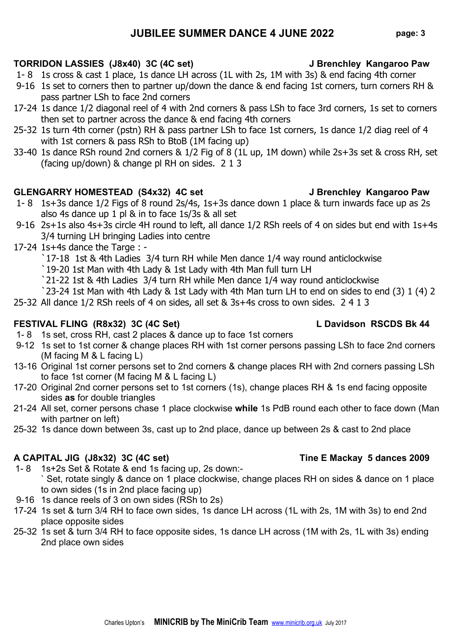# **JUBILEE SUMMER DANCE 4 JUNE 2022 page: 3**

# **TORRIDON LASSIES (J8x40) 3C (4C set) J Brenchley Kangaroo Paw**

- 1- 8 1s cross & cast 1 place, 1s dance LH across (1L with 2s, 1M with 3s) & end facing 4th corner
- 9-16 1s set to corners then to partner up/down the dance & end facing 1st corners, turn corners RH & pass partner LSh to face 2nd corners
- 17-24 1s dance 1/2 diagonal reel of 4 with 2nd corners & pass LSh to face 3rd corners, 1s set to corners then set to partner across the dance & end facing 4th corners
- 25-32 1s turn 4th corner (pstn) RH & pass partner LSh to face 1st corners, 1s dance 1/2 diag reel of 4 with 1st corners & pass RSh to BtoB (1M facing up)
- 33-40 1s dance RSh round 2nd corners & 1/2 Fig of 8 (1L up, 1M down) while 2s+3s set & cross RH, set (facing up/down) & change pl RH on sides. 2 1 3

# **GLENGARRY HOMESTEAD (S4x32) 4C set J Brenchley Kangaroo Paw**

- 1- 8 1s+3s dance 1/2 Figs of 8 round 2s/4s, 1s+3s dance down 1 place & turn inwards face up as 2s also 4s dance up 1 pl & in to face 1s/3s & all set
- 9-16 2s+1s also 4s+3s circle 4H round to left, all dance 1/2 RSh reels of 4 on sides but end with 1s+4s 3/4 turning LH bringing Ladies into centre
- 17-24 1s+4s dance the Targe :
	- `17-18 1st & 4th Ladies 3/4 turn RH while Men dance 1/4 way round anticlockwise
	- `19-20 1st Man with 4th Lady & 1st Lady with 4th Man full turn LH
	- `21-22 1st & 4th Ladies 3/4 turn RH while Men dance 1/4 way round anticlockwise
	- `23-24 1st Man with 4th Lady & 1st Lady with 4th Man turn LH to end on sides to end (3) 1 (4) 2
- 25-32 All dance 1/2 RSh reels of 4 on sides, all set & 3s+4s cross to own sides. 2 4 1 3

# **FESTIVAL FLING (R8x32) 3C (4C Set) L Davidson RSCDS Bk 44**

- 1- 8 1s set, cross RH, cast 2 places & dance up to face 1st corners
- 9-12 1s set to 1st corner & change places RH with 1st corner persons passing LSh to face 2nd corners (M facing M & L facing L)
- 13-16 Original 1st corner persons set to 2nd corners & change places RH with 2nd corners passing LSh to face 1st corner (M facing M & L facing L)
- 17-20 Original 2nd corner persons set to 1st corners (1s), change places RH & 1s end facing opposite sides **as** for double triangles
- 21-24 All set, corner persons chase 1 place clockwise **while** 1s PdB round each other to face down (Man with partner on left)
- 25-32 1s dance down between 3s, cast up to 2nd place, dance up between 2s & cast to 2nd place

# **A CAPITAL JIG (J8x32) 3C (4C set) Tine E Mackay 5 dances 2009**

- 1- 8 1s+2s Set & Rotate & end 1s facing up, 2s down:- ` Set, rotate singly & dance on 1 place clockwise, change places RH on sides & dance on 1 place to own sides (1s in 2nd place facing up)
- 9-16 1s dance reels of 3 on own sides (RSh to 2s)
- 17-24 1s set & turn 3/4 RH to face own sides, 1s dance LH across (1L with 2s, 1M with 3s) to end 2nd place opposite sides
- 25-32 1s set & turn 3/4 RH to face opposite sides, 1s dance LH across (1M with 2s, 1L with 3s) ending 2nd place own sides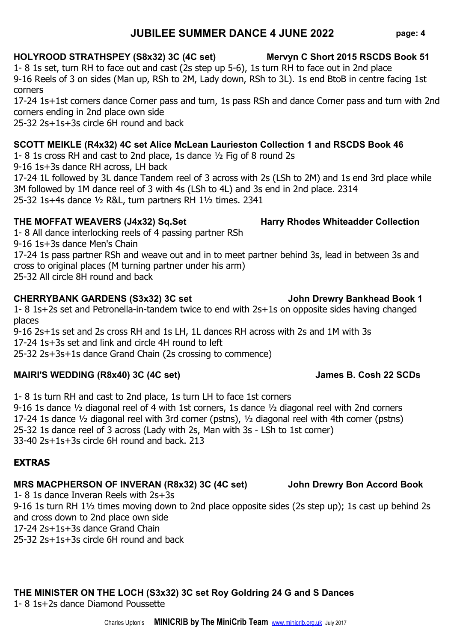9-16 2s+1s set and 2s cross RH and 1s LH, 1L dances RH across with 2s and 1M with 3s 25-32 2s+3s+1s dance Grand Chain (2s crossing to commence)

1- 8 1s turn RH and cast to 2nd place, 1s turn LH to face 1st corners 9-16 1s dance ½ diagonal reel of 4 with 1st corners, 1s dance ½ diagonal reel with 2nd corners 17-24 1s dance ½ diagonal reel with 3rd corner (pstns), ½ diagonal reel with 4th corner (pstns) 25-32 1s dance reel of 3 across (Lady with 2s, Man with 3s - LSh to 1st corner) 33-40 2s+1s+3s circle 6H round and back. 213

## **EXTRAS**

## **MRS MACPHERSON OF INVERAN (R8x32) 3C (4C set) John Drewry Bon Accord Book**

1- 8 1s dance Inveran Reels with 2s+3s 9-16 1s turn RH 1½ times moving down to 2nd place opposite sides (2s step up); 1s cast up behind 2s and cross down to 2nd place own side 17-24 2s+1s+3s dance Grand Chain 25-32 2s+1s+3s circle 6H round and back

### **THE MINISTER ON THE LOCH (S3x32) 3C set Roy Goldring 24 G and S Dances** 1- 8 1s+2s dance Diamond Poussette

# **JUBILEE SUMMER DANCE 4 JUNE 2022 page: 4**

1- 8 1s set, turn RH to face out and cast (2s step up 5-6), 1s turn RH to face out in 2nd place 9-16 Reels of 3 on sides (Man up, RSh to 2M, Lady down, RSh to 3L). 1s end BtoB in centre facing 1st corners

17-24 1s+1st corners dance Corner pass and turn, 1s pass RSh and dance Corner pass and turn with 2nd corners ending in 2nd place own side

25-32 2s+1s+3s circle 6H round and back

### **SCOTT MEIKLE (R4x32) 4C set Alice McLean Laurieston Collection 1 and RSCDS Book 46**

1- 8 1s cross RH and cast to 2nd place, 1s dance ½ Fig of 8 round 2s

9-16 1s+3s dance RH across, LH back

17-24 1L followed by 3L dance Tandem reel of 3 across with 2s (LSh to 2M) and 1s end 3rd place while 3M followed by 1M dance reel of 3 with 4s (LSh to 4L) and 3s end in 2nd place. 2314 25-32 1s+4s dance ½ R&L, turn partners RH 1½ times. 2341

### **THE MOFFAT WEAVERS (J4x32) Sq.Set Harry Rhodes Whiteadder Collection**

1- 8 All dance interlocking reels of 4 passing partner RSh 9-16 1s+3s dance Men's Chain 17-24 1s pass partner RSh and weave out and in to meet partner behind 3s, lead in between 3s and cross to original places (M turning partner under his arm)

25-32 All circle 8H round and back

# **CHERRYBANK GARDENS (S3x32) 3C set John Drewry Bankhead Book 1**

1- 8 1s+2s set and Petronella-in-tandem twice to end with 2s+1s on opposite sides having changed places

17-24 1s+3s set and link and circle 4H round to left

## **MAIRI'S WEDDING (R8x40) 3C (4C set) James B. Cosh 22 SCDs**

# **HOLYROOD STRATHSPEY (S8x32) 3C (4C set) Mervyn C Short 2015 RSCDS Book 51**